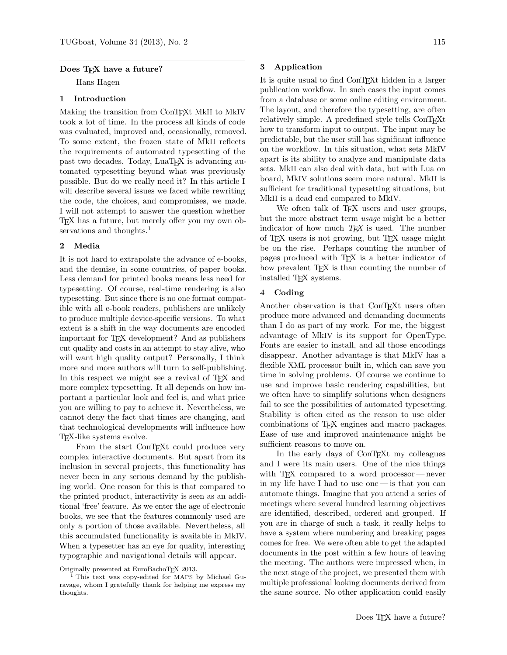### Does TFX have a future?

Hans Hagen

# 1 Introduction

Making the transition from ConTEXt MkII to MkIV took a lot of time. In the process all kinds of code was evaluated, improved and, occasionally, removed. To some extent, the frozen state of MkII reflects the requirements of automated typesetting of the past two decades. Today, LuaT<sub>EX</sub> is advancing automated typesetting beyond what was previously possible. But do we really need it? In this article I will describe several issues we faced while rewriting the code, the choices, and compromises, we made. I will not attempt to answer the question whether TEX has a future, but merely offer you my own observations and thoughts.<sup>1</sup>

#### 2 Media

It is not hard to extrapolate the advance of e-books, and the demise, in some countries, of paper books. Less demand for printed books means less need for typesetting. Of course, real-time rendering is also typesetting. But since there is no one format compatible with all e-book readers, publishers are unlikely to produce multiple device-specific versions. To what extent is a shift in the way documents are encoded important for T<sub>EX</sub> development? And as publishers cut quality and costs in an attempt to stay alive, who will want high quality output? Personally, I think more and more authors will turn to self-publishing. In this respect we might see a revival of TEX and more complex typesetting. It all depends on how important a particular look and feel is, and what price you are willing to pay to achieve it. Nevertheless, we cannot deny the fact that times are changing, and that technological developments will influence how TEX-like systems evolve.

From the start ConT<sub>EX</sub>t could produce very complex interactive documents. But apart from its inclusion in several projects, this functionality has never been in any serious demand by the publishing world. One reason for this is that compared to the printed product, interactivity is seen as an additional 'free' feature. As we enter the age of electronic books, we see that the features commonly used are only a portion of those available. Nevertheless, all this accumulated functionality is available in MkIV. When a typesetter has an eye for quality, interesting typographic and navigational details will appear.

## 3 Application

It is quite usual to find ConT<sub>E</sub>Xt hidden in a larger publication workflow. In such cases the input comes from a database or some online editing environment. The layout, and therefore the typesetting, are often relatively simple. A predefined style tells ConT<sub>EXt</sub> how to transform input to output. The input may be predictable, but the user still has significant influence on the workflow. In this situation, what sets MkIV apart is its ability to analyze and manipulate data sets. MkII can also deal with data, but with Lua on board, MkIV solutions seem more natural. MkII is sufficient for traditional typesetting situations, but MkII is a dead end compared to MkIV.

We often talk of TEX users and user groups, but the more abstract term usage might be a better indicator of how much  $T \n F X$  is used. The number of TEX users is not growing, but TEX usage might be on the rise. Perhaps counting the number of pages produced with TEX is a better indicator of how prevalent T<sub>E</sub>X is than counting the number of installed TEX systems.

## 4 Coding

Another observation is that ConT<sub>EXt</sub> users often produce more advanced and demanding documents than I do as part of my work. For me, the biggest advantage of MkIV is its support for OpenType. Fonts are easier to install, and all those encodings disappear. Another advantage is that MkIV has a flexible XML processor built in, which can save you time in solving problems. Of course we continue to use and improve basic rendering capabilities, but we often have to simplify solutions when designers fail to see the possibilities of automated typesetting. Stability is often cited as the reason to use older combinations of T<sub>F</sub>X engines and macro packages. Ease of use and improved maintenance might be sufficient reasons to move on.

In the early days of ConTEXt my colleagues and I were its main users. One of the nice things with T<sub>E</sub>X compared to a word processor—never in my life have I had to use one— is that you can automate things. Imagine that you attend a series of meetings where several hundred learning objectives are identified, described, ordered and grouped. If you are in charge of such a task, it really helps to have a system where numbering and breaking pages comes for free. We were often able to get the adapted documents in the post within a few hours of leaving the meeting. The authors were impressed when, in the next stage of the project, we presented them with multiple professional looking documents derived from the same source. No other application could easily

Originally presented at EuroBachoTEX 2013.

<sup>1</sup> This text was copy-edited for MAPS by Michael Guravage, whom I gratefully thank for helping me express my thoughts.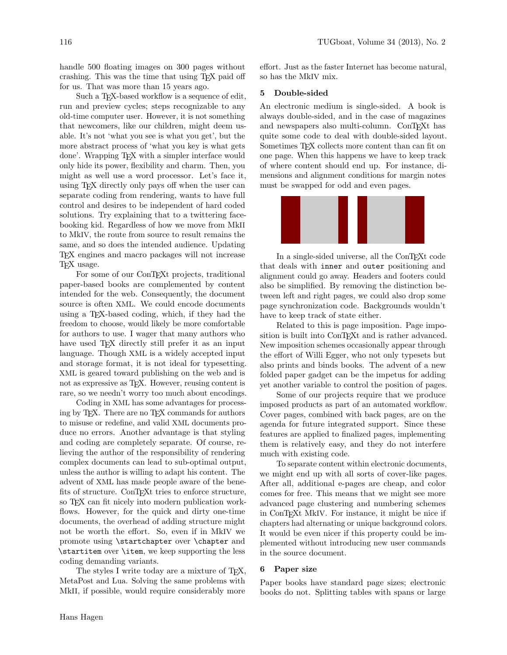handle 500 floating images on 300 pages without crashing. This was the time that using TEX paid off for us. That was more than 15 years ago.

Such a T<sub>F</sub>X-based workflow is a sequence of edit, run and preview cycles; steps recognizable to any old-time computer user. However, it is not something that newcomers, like our children, might deem usable. It's not 'what you see is what you get', but the more abstract process of 'what you key is what gets done'. Wrapping T<sub>EX</sub> with a simpler interface would only hide its power, flexibility and charm. Then, you might as well use a word processor. Let's face it, using TEX directly only pays off when the user can separate coding from rendering, wants to have full control and desires to be independent of hard coded solutions. Try explaining that to a twittering facebooking kid. Regardless of how we move from MkII to MkIV, the route from source to result remains the same, and so does the intended audience. Updating TEX engines and macro packages will not increase TEX usage.

For some of our ConT<sub>EX</sub><sup>t</sup> projects, traditional paper-based books are complemented by content intended for the web. Consequently, the document source is often XML. We could encode documents using a TEX-based coding, which, if they had the freedom to choose, would likely be more comfortable for authors to use. I wager that many authors who have used T<sub>EX</sub> directly still prefer it as an input language. Though XML is a widely accepted input and storage format, it is not ideal for typesetting. XML is geared toward publishing on the web and is not as expressive as T<sub>EX</sub>. However, reusing content is rare, so we needn't worry too much about encodings.

Coding in XML has some advantages for processing by T<sub>EX</sub>. There are no T<sub>EX</sub> commands for authors to misuse or redefine, and valid XML documents produce no errors. Another advantage is that styling and coding are completely separate. Of course, relieving the author of the responsibility of rendering complex documents can lead to sub-optimal output, unless the author is willing to adapt his content. The advent of XML has made people aware of the benefits of structure. ConTEXt tries to enforce structure, so T<sub>F</sub>X can fit nicely into modern publication workflows. However, for the quick and dirty one-time documents, the overhead of adding structure might not be worth the effort. So, even if in MkIV we promote using \startchapter over \chapter and \startitem over \item, we keep supporting the less coding demanding variants.

The styles I write today are a mixture of T<sub>F</sub>X, MetaPost and Lua. Solving the same problems with MkII, if possible, would require considerably more

effort. Just as the faster Internet has become natural, so has the MkIV mix.

#### 5 Double-sided

An electronic medium is single-sided. A book is always double-sided, and in the case of magazines and newspapers also multi-column. ConTEXt has quite some code to deal with double-sided layout. Sometimes T<sub>F</sub>X collects more content than can fit on one page. When this happens we have to keep track of where content should end up. For instance, dimensions and alignment conditions for margin notes must be swapped for odd and even pages.



In a single-sided universe, all the ConTEXt code that deals with inner and outer positioning and alignment could go away. Headers and footers could also be simplified. By removing the distinction between left and right pages, we could also drop some page synchronization code. Backgrounds wouldn't have to keep track of state either.

Related to this is page imposition. Page imposition is built into ConTEXt and is rather advanced. New imposition schemes occasionally appear through the effort of Willi Egger, who not only typesets but also prints and binds books. The advent of a new folded paper gadget can be the impetus for adding yet another variable to control the position of pages.

Some of our projects require that we produce imposed products as part of an automated workflow. Cover pages, combined with back pages, are on the agenda for future integrated support. Since these features are applied to finalized pages, implementing them is relatively easy, and they do not interfere much with existing code.

To separate content within electronic documents, we might end up with all sorts of cover-like pages. After all, additional e-pages are cheap, and color comes for free. This means that we might see more advanced page clustering and numbering schemes in ConTEXt MkIV. For instance, it might be nice if chapters had alternating or unique background colors. It would be even nicer if this property could be implemented without introducing new user commands in the source document.

#### 6 Paper size

Paper books have standard page sizes; electronic books do not. Splitting tables with spans or large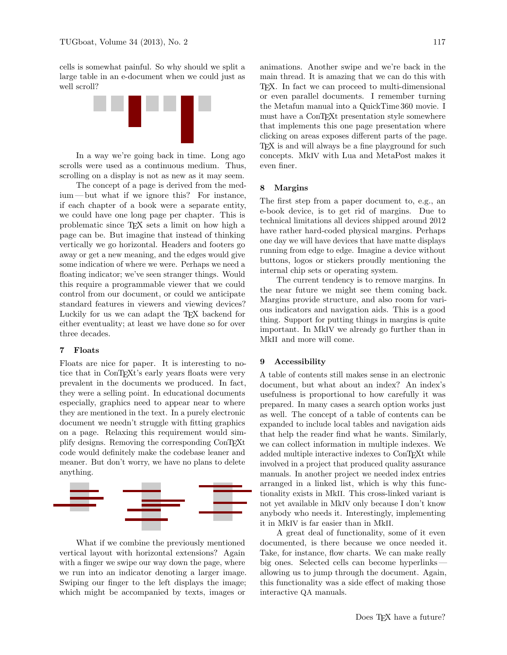cells is somewhat painful. So why should we split a large table in an e-document when we could just as well scroll?



In a way we're going back in time. Long ago scrolls were used as a continuous medium. Thus, scrolling on a display is not as new as it may seem.

The concept of a page is derived from the medium— but what if we ignore this? For instance, if each chapter of a book were a separate entity, we could have one long page per chapter. This is problematic since TEX sets a limit on how high a page can be. But imagine that instead of thinking vertically we go horizontal. Headers and footers go away or get a new meaning, and the edges would give some indication of where we were. Perhaps we need a floating indicator; we've seen stranger things. Would this require a programmable viewer that we could control from our document, or could we anticipate standard features in viewers and viewing devices? Luckily for us we can adapt the T<sub>EX</sub> backend for either eventuality; at least we have done so for over three decades.

## 7 Floats

Floats are nice for paper. It is interesting to notice that in ConTEXt's early years floats were very prevalent in the documents we produced. In fact, they were a selling point. In educational documents especially, graphics need to appear near to where they are mentioned in the text. In a purely electronic document we needn't struggle with fitting graphics on a page. Relaxing this requirement would simplify designs. Removing the corresponding ConTEXt code would definitely make the codebase leaner and meaner. But don't worry, we have no plans to delete anything.



What if we combine the previously mentioned vertical layout with horizontal extensions? Again with a finger we swipe our way down the page, where we run into an indicator denoting a larger image. Swiping our finger to the left displays the image; which might be accompanied by texts, images or

animations. Another swipe and we're back in the main thread. It is amazing that we can do this with TEX. In fact we can proceed to multi-dimensional or even parallel documents. I remember turning the Metafun manual into a QuickTime 360 movie. I must have a ConT<sub>E</sub>X<sub>t</sub> presentation style somewhere that implements this one page presentation where clicking on areas exposes different parts of the page. TEX is and will always be a fine playground for such concepts. MkIV with Lua and MetaPost makes it even finer.

## 8 Margins

The first step from a paper document to, e.g., an e-book device, is to get rid of margins. Due to technical limitations all devices shipped around 2012 have rather hard-coded physical margins. Perhaps one day we will have devices that have matte displays running from edge to edge. Imagine a device without buttons, logos or stickers proudly mentioning the internal chip sets or operating system.

The current tendency is to remove margins. In the near future we might see them coming back. Margins provide structure, and also room for various indicators and navigation aids. This is a good thing. Support for putting things in margins is quite important. In MkIV we already go further than in MkII and more will come.

## 9 Accessibility

A table of contents still makes sense in an electronic document, but what about an index? An index's usefulness is proportional to how carefully it was prepared. In many cases a search option works just as well. The concept of a table of contents can be expanded to include local tables and navigation aids that help the reader find what he wants. Similarly, we can collect information in multiple indexes. We added multiple interactive indexes to ConTEXt while involved in a project that produced quality assurance manuals. In another project we needed index entries arranged in a linked list, which is why this functionality exists in MkII. This cross-linked variant is not yet available in MkIV only because I don't know anybody who needs it. Interestingly, implementing it in MkIV is far easier than in MkII.

A great deal of functionality, some of it even documented, is there because we once needed it. Take, for instance, flow charts. We can make really big ones. Selected cells can become hyperlinks allowing us to jump through the document. Again, this functionality was a side effect of making those interactive QA manuals.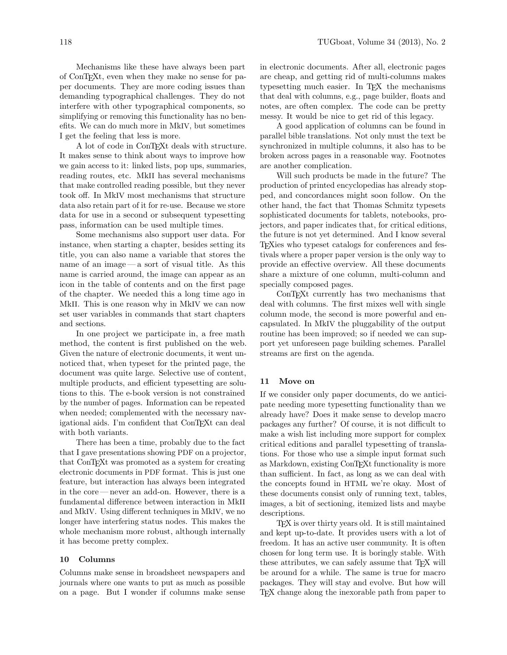Mechanisms like these have always been part of ConTEXt, even when they make no sense for paper documents. They are more coding issues than demanding typographical challenges. They do not interfere with other typographical components, so simplifying or removing this functionality has no benefits. We can do much more in MkIV, but sometimes I get the feeling that less is more.

A lot of code in ConTEXt deals with structure. It makes sense to think about ways to improve how we gain access to it: linked lists, pop ups, summaries, reading routes, etc. MkII has several mechanisms that make controlled reading possible, but they never took off. In MkIV most mechanisms that structure data also retain part of it for re-use. Because we store data for use in a second or subsequent typesetting pass, information can be used multiple times.

Some mechanisms also support user data. For instance, when starting a chapter, besides setting its title, you can also name a variable that stores the name of an image— a sort of visual title. As this name is carried around, the image can appear as an icon in the table of contents and on the first page of the chapter. We needed this a long time ago in MkII. This is one reason why in MkIV we can now set user variables in commands that start chapters and sections.

In one project we participate in, a free math method, the content is first published on the web. Given the nature of electronic documents, it went unnoticed that, when typeset for the printed page, the document was quite large. Selective use of content, multiple products, and efficient typesetting are solutions to this. The e-book version is not constrained by the number of pages. Information can be repeated when needed; complemented with the necessary navigational aids. I'm confident that ConTEXt can deal with both variants.

There has been a time, probably due to the fact that I gave presentations showing PDF on a projector, that ConTEXt was promoted as a system for creating electronic documents in PDF format. This is just one feature, but interaction has always been integrated in the core— never an add-on. However, there is a fundamental difference between interaction in MkII and MkIV. Using different techniques in MkIV, we no longer have interfering status nodes. This makes the whole mechanism more robust, although internally it has become pretty complex.

# 10 Columns

Columns make sense in broadsheet newspapers and journals where one wants to put as much as possible on a page. But I wonder if columns make sense in electronic documents. After all, electronic pages are cheap, and getting rid of multi-columns makes typesetting much easier. In TEX the mechanisms that deal with columns, e.g., page builder, floats and notes, are often complex. The code can be pretty messy. It would be nice to get rid of this legacy.

A good application of columns can be found in parallel bible translations. Not only must the text be synchronized in multiple columns, it also has to be broken across pages in a reasonable way. Footnotes are another complication.

Will such products be made in the future? The production of printed encyclopedias has already stopped, and concordances might soon follow. On the other hand, the fact that Thomas Schmitz typesets sophisticated documents for tablets, notebooks, projectors, and paper indicates that, for critical editions, the future is not yet determined. And I know several TEXies who typeset catalogs for conferences and festivals where a proper paper version is the only way to provide an effective overview. All these documents share a mixture of one column, multi-column and specially composed pages.

ConTEXt currently has two mechanisms that deal with columns. The first mixes well with single column mode, the second is more powerful and encapsulated. In MkIV the pluggability of the output routine has been improved; so if needed we can support yet unforeseen page building schemes. Parallel streams are first on the agenda.

#### 11 Move on

If we consider only paper documents, do we anticipate needing more typesetting functionality than we already have? Does it make sense to develop macro packages any further? Of course, it is not difficult to make a wish list including more support for complex critical editions and parallel typesetting of translations. For those who use a simple input format such as Markdown, existing ConTEXt functionality is more than sufficient. In fact, as long as we can deal with the concepts found in HTML we're okay. Most of these documents consist only of running text, tables, images, a bit of sectioning, itemized lists and maybe descriptions.

TEX is over thirty years old. It is still maintained and kept up-to-date. It provides users with a lot of freedom. It has an active user community. It is often chosen for long term use. It is boringly stable. With these attributes, we can safely assume that T<sub>EX</sub> will be around for a while. The same is true for macro packages. They will stay and evolve. But how will T<sub>EX</sub> change along the inexorable path from paper to